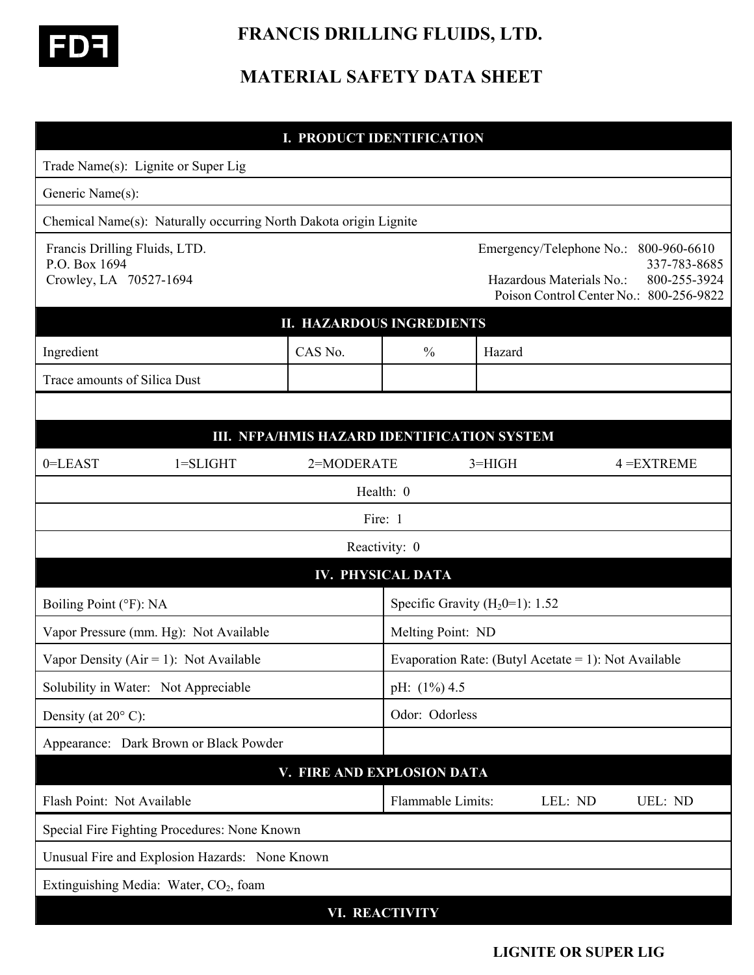

## **FRANCIS DRILLING FLUIDS, LTD.**

## **MATERIAL SAFETY DATA SHEET**

| <b>I. PRODUCT IDENTIFICATION</b>                                         |                                                                   |                            |                          |                                                      |                                                                                                 |                                              |  |
|--------------------------------------------------------------------------|-------------------------------------------------------------------|----------------------------|--------------------------|------------------------------------------------------|-------------------------------------------------------------------------------------------------|----------------------------------------------|--|
|                                                                          | Trade Name(s): Lignite or Super Lig                               |                            |                          |                                                      |                                                                                                 |                                              |  |
| Generic Name(s):                                                         |                                                                   |                            |                          |                                                      |                                                                                                 |                                              |  |
|                                                                          | Chemical Name(s): Naturally occurring North Dakota origin Lignite |                            |                          |                                                      |                                                                                                 |                                              |  |
| Francis Drilling Fluids, LTD.<br>P.O. Box 1694<br>Crowley, LA 70527-1694 |                                                                   |                            |                          |                                                      | Emergency/Telephone No.:<br>Hazardous Materials No.:<br>Poison Control Center No.: 800-256-9822 | 800-960-6610<br>337-783-8685<br>800-255-3924 |  |
| <b>II. HAZARDOUS INGREDIENTS</b>                                         |                                                                   |                            |                          |                                                      |                                                                                                 |                                              |  |
| CAS No.<br>Ingredient                                                    |                                                                   |                            | $\frac{0}{0}$            | Hazard                                               |                                                                                                 |                                              |  |
| Trace amounts of Silica Dust                                             |                                                                   |                            |                          |                                                      |                                                                                                 |                                              |  |
|                                                                          |                                                                   |                            |                          |                                                      |                                                                                                 |                                              |  |
| III. NFPA/HMIS HAZARD IDENTIFICATION SYSTEM                              |                                                                   |                            |                          |                                                      |                                                                                                 |                                              |  |
| 0=LEAST                                                                  | $1 = SLIGHT$                                                      | 2=MODERATE                 |                          | $3=HIGH$                                             |                                                                                                 | $4 = EXTREME$                                |  |
|                                                                          |                                                                   |                            | Health: 0                |                                                      |                                                                                                 |                                              |  |
|                                                                          |                                                                   |                            | Fire: 1                  |                                                      |                                                                                                 |                                              |  |
|                                                                          |                                                                   |                            | Reactivity: 0            |                                                      |                                                                                                 |                                              |  |
|                                                                          |                                                                   |                            | <b>IV. PHYSICAL DATA</b> |                                                      |                                                                                                 |                                              |  |
| Boiling Point (°F): NA                                                   |                                                                   |                            |                          | Specific Gravity $(H20=1)$ : 1.52                    |                                                                                                 |                                              |  |
| Vapor Pressure (mm. Hg): Not Available                                   |                                                                   |                            |                          | Melting Point: ND                                    |                                                                                                 |                                              |  |
| Vapor Density ( $Air = 1$ ): Not Available                               |                                                                   |                            |                          | Evaporation Rate: (Butyl Acetate = 1): Not Available |                                                                                                 |                                              |  |
| Solubility in Water: Not Appreciable                                     |                                                                   |                            |                          | pH: (1%) 4.5                                         |                                                                                                 |                                              |  |
| Density (at $20^{\circ}$ C):                                             |                                                                   |                            |                          | Odor: Odorless                                       |                                                                                                 |                                              |  |
|                                                                          | Appearance: Dark Brown or Black Powder                            |                            |                          |                                                      |                                                                                                 |                                              |  |
|                                                                          |                                                                   | V. FIRE AND EXPLOSION DATA |                          |                                                      |                                                                                                 |                                              |  |
| Flash Point: Not Available                                               |                                                                   |                            |                          | Flammable Limits:                                    | LEL: ND                                                                                         | UEL: ND                                      |  |
|                                                                          | Special Fire Fighting Procedures: None Known                      |                            |                          |                                                      |                                                                                                 |                                              |  |
|                                                                          | Unusual Fire and Explosion Hazards: None Known                    |                            |                          |                                                      |                                                                                                 |                                              |  |
|                                                                          | Extinguishing Media: Water, CO <sub>2</sub> , foam                |                            |                          |                                                      |                                                                                                 |                                              |  |
| VI. REACTIVITY                                                           |                                                                   |                            |                          |                                                      |                                                                                                 |                                              |  |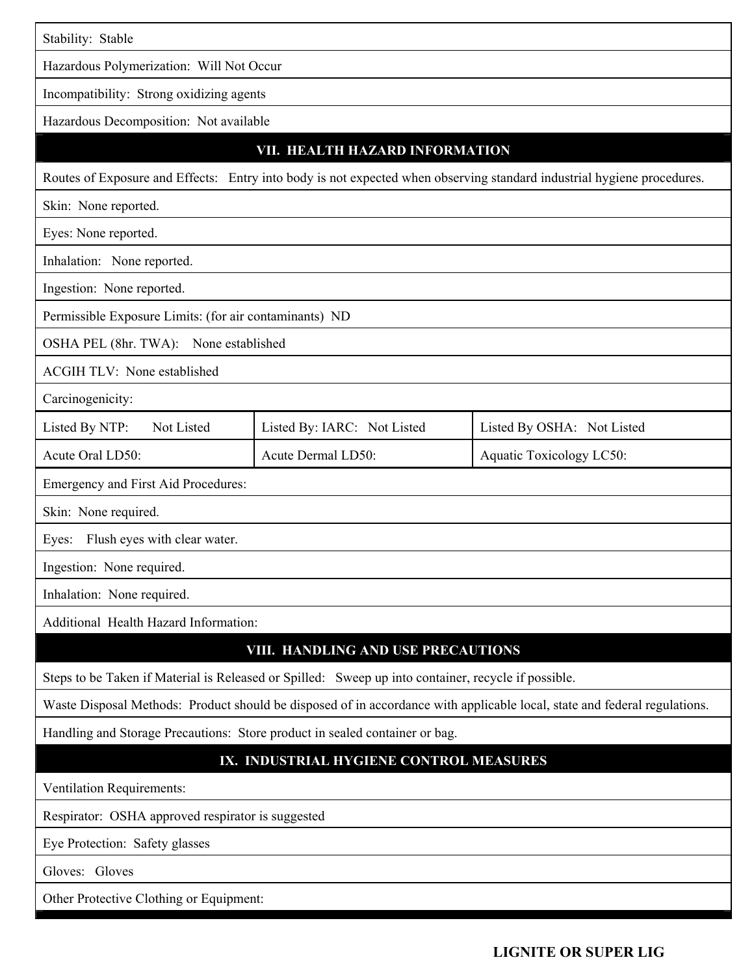| Stability: Stable                                                                                                         |                             |                            |  |  |  |  |
|---------------------------------------------------------------------------------------------------------------------------|-----------------------------|----------------------------|--|--|--|--|
| Hazardous Polymerization: Will Not Occur                                                                                  |                             |                            |  |  |  |  |
| Incompatibility: Strong oxidizing agents                                                                                  |                             |                            |  |  |  |  |
| Hazardous Decomposition: Not available                                                                                    |                             |                            |  |  |  |  |
| VII. HEALTH HAZARD INFORMATION                                                                                            |                             |                            |  |  |  |  |
| Routes of Exposure and Effects: Entry into body is not expected when observing standard industrial hygiene procedures.    |                             |                            |  |  |  |  |
| Skin: None reported.                                                                                                      |                             |                            |  |  |  |  |
| Eyes: None reported.                                                                                                      |                             |                            |  |  |  |  |
| Inhalation: None reported.                                                                                                |                             |                            |  |  |  |  |
| Ingestion: None reported.                                                                                                 |                             |                            |  |  |  |  |
| Permissible Exposure Limits: (for air contaminants) ND                                                                    |                             |                            |  |  |  |  |
| OSHA PEL (8hr. TWA): None established                                                                                     |                             |                            |  |  |  |  |
| <b>ACGIH TLV: None established</b>                                                                                        |                             |                            |  |  |  |  |
| Carcinogenicity:                                                                                                          |                             |                            |  |  |  |  |
| Listed By NTP:<br>Not Listed                                                                                              | Listed By: IARC: Not Listed | Listed By OSHA: Not Listed |  |  |  |  |
| Acute Oral LD50:                                                                                                          | Acute Dermal LD50:          | Aquatic Toxicology LC50:   |  |  |  |  |
| Emergency and First Aid Procedures:                                                                                       |                             |                            |  |  |  |  |
| Skin: None required.                                                                                                      |                             |                            |  |  |  |  |
| Flush eyes with clear water.<br>Eyes:                                                                                     |                             |                            |  |  |  |  |
| Ingestion: None required.                                                                                                 |                             |                            |  |  |  |  |
| Inhalation: None required.                                                                                                |                             |                            |  |  |  |  |
| Additional Health Hazard Information:                                                                                     |                             |                            |  |  |  |  |
| VIII. HANDLING AND USE PRECAUTIONS                                                                                        |                             |                            |  |  |  |  |
| Steps to be Taken if Material is Released or Spilled: Sweep up into container, recycle if possible.                       |                             |                            |  |  |  |  |
| Waste Disposal Methods: Product should be disposed of in accordance with applicable local, state and federal regulations. |                             |                            |  |  |  |  |
| Handling and Storage Precautions: Store product in sealed container or bag.                                               |                             |                            |  |  |  |  |
| IX. INDUSTRIAL HYGIENE CONTROL MEASURES                                                                                   |                             |                            |  |  |  |  |
| Ventilation Requirements:                                                                                                 |                             |                            |  |  |  |  |
| Respirator: OSHA approved respirator is suggested                                                                         |                             |                            |  |  |  |  |
| Eye Protection: Safety glasses                                                                                            |                             |                            |  |  |  |  |
| Gloves: Gloves                                                                                                            |                             |                            |  |  |  |  |
| Other Protective Clothing or Equipment:                                                                                   |                             |                            |  |  |  |  |